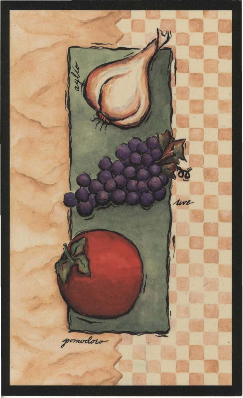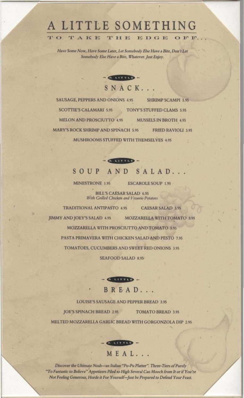# A LITTLE SOMETHING

TAKE THE EDGE OFF

Have Some Now, Have Some Later, Let Somebody Else Have a Bite, Don't Let Somebody Else Have a Bite, Whatever. Just Enjoy.



SAUSAGE, PEPPERS AND ONIONS 4.95 SHRIMP SCAMPI 5.95 **SCOTTIE'S CALAMARI 5.95** TONY'S STUFFED CLAMS 5.95 **MELON AND PROSCIUTTO 4.95 MUSSELS IN BROTH 4.95 MARY'S ROCK SHRIMP AND SPINACH 5.95 FRIED RAVIOLI 3.95** MUSHROOMS STUFFED WITH THEMSELVES 4.95



## SOUP AND SALAD..

MINESTRONE 1.95

**TO** 

**ESCAROLE SOUP 1.95** 

**BILL'S CAESAR SALAD 6.95** With Grilled Chicken and Vesuvio Potatoes

TRADITIONAL ANTIPASTO 4.95 CAESAR SALAD 3.95 **JIMMY AND JOEY'S SALAD 4.95** MOZZARELLA WITH TOMATO 3.95 MOZZARELLA WITH PROSCIUTTO AND TOMATO 5.95 PASTA PRIMAVERA WITH CHICKEN SALAD AND PESTO 7.95 TOMATOES, CUCUMBERS AND SWEET RED ONIONS 3.95

**SEAFOOD SALAD 8.95** 

 $Q$  **METHE**  $-$ 

BREAD... **LOUISE'S SAUSAGE AND PEPPER BREAD 3.95 JOE'S SPINACH BREAD 2.95 TOMATO BREAD 3.95** MELTED MOZZARELLA GARLIC BREAD WITH GORGONZOLA DIP 2.95



Discover the Ultimate Nosh-an Italian "Pu-Pu Platter". Three-Tiers of Purely "To Fantastic to Believe" Appetizers Piled so High Several Can Mooch from It or if You're Not Feeling Generous, Horde it For Yourself-Just be Prepared to Defend Your Feast.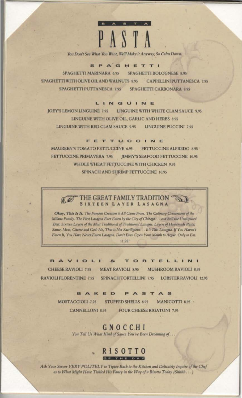

You Don't See What You Want, We'll Make it Anyway, So Calm Down.

#### SPAGHETTI

SPAGHETTI MARINARA 6.95 SPAGHETTI BOLOGNESE 8.95 SPAGHETTI WITH OLIVE OIL AND WALNUTS 8.95 CAPPELLINI PUTTANESCA 7.95 SPAGHETTI PUTTANESCA 7.95 **SPAGHETTI CARBONARA 8.95** 

#### LINGUINE

LINGUINE WITH WHITE CLAM SAUCE 9.95 JOEY'S LEMON LINGUINE 7.95 LINGUINE WITH OLIVE OIL, GARLIC AND HERBS 8.95 LINGUINE WITH RED CLAM SAUCE 9.95 **LINGUINE PUCCINI 7.95** 

FETTUCCINE

**MAUREEN'S TOMATO FETTUCCINE 6.95** FETTUCCINE ALFREDO 8.95 FETTUCCINE PRIMAVERA 7.95 **JIMMY'S SEAFOOD FETTUCCINE 10.95** WHOLE WHEAT FETTUCCINE WITH CHICKEN 9.95 SPINACH AND SHRIMP FETTUCCINE 10.95



Okay, This Is It. The Famous Creation it All Came From. The Culinary Cornerstone of the Milano Family. The First Lasagna Ever Eaten by the City of Chicago. . . and Still the Undisputed Best. Sixteen Layers of the Most Traditional of Traditional Lasagne. Layers of Homemade Pasta, Sauce, Meat, Cheese and God. No, That is Not Sacriligious. . . It's This Lasagna. If You Haven't Eaten It, You Have Never Eaten Lasagna, Don't Even Open Your Mouth to Argue. Only to Eat. 11.95

RAVIOL  $R_{d}$ O<sub>R</sub> ELLINI  $\mathbf{r}$ CHEESE RAVIOLI 7.95 MEAT RAVIOLI 8.95 **MUSHROOM RAVIOLI 8.95** RAVIOLI FLORENTINE 7.95 SPINACH TORTELLINI 7.95 LOBSTER RAVIOLI 12.95

> BAKED A<sub>S</sub> S

MOSTACCIOLI 7.95 **STUFFED SHELLS 8.95** MANICOTTI 8.95 -**CANNELLONI 8.95 FOUR CHEESE RIGATONI 7.95** 

> GNOCCHI You Tell Us What Kind of Sauce You've Been Dreaming of...

### **RISOTTO CELEBRATE BELOWS**

Ask Your Server VERY POLITELY to Tiptoe Back to the Kitchen and Delicately Inquire of the Chef as to What Might Have Tickled His Fancy in the Way of a Risotto Today (Shhhh...)